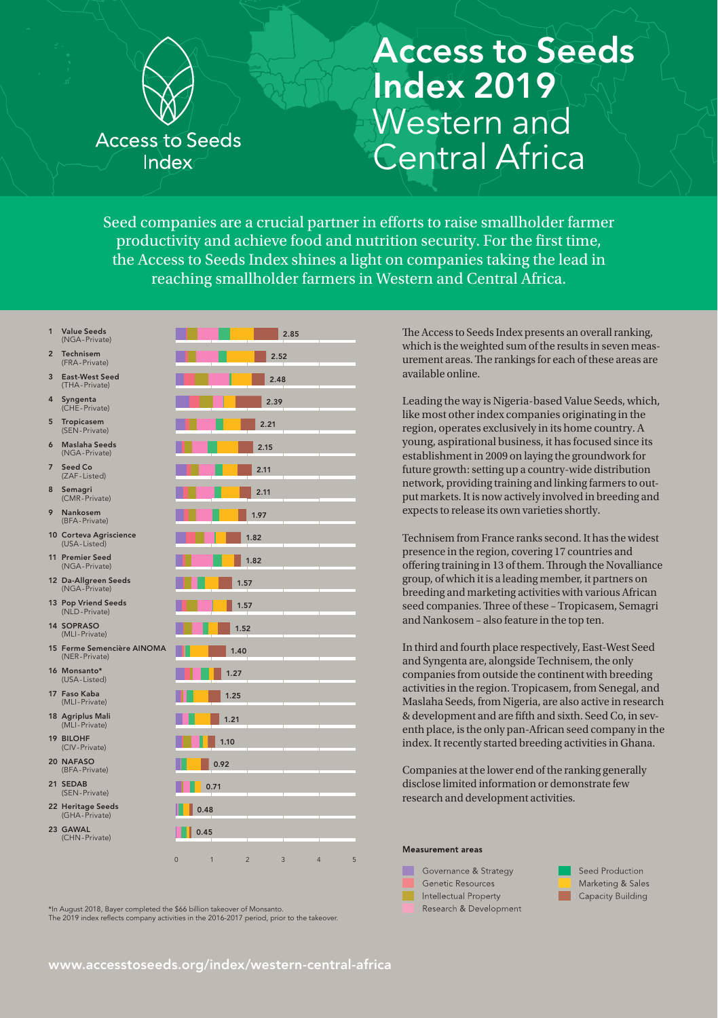

## Access to Seeds Index 2019 Western and Central Africa

Seed companies are a crucial partner in eforts to raise smallholder farmer productivity and achieve food and nutrition security. For the first time, the Access to Seeds Index shines a light on companies taking the lead in reaching smallholder farmers in Western and Central Africa.

- 
- 2 Technisem (FRA-Private)
- 3 East-West Seed (THA-Private)
- 4 Syngenta (CHE-Private)
- 5 Tropicasem (SEN-Private)
- 6 Maslaha Seeds (NGA-Private)
- 7 Seed Co (ZAF-Listed)
- 8 Semagri (CMR-Private)
- Nankosem (BFA-Private)
- 10 Corteva Agriscience (USA-Listed)
- 11 Premier Seed (NGA-Private)
- 12 Da-Allgreen Seeds (NGA-Private)
- 13 Pop Vriend Seeds (NLD-Private)
- 14 SOPRASO (MLI-Private)
- 15 Ferme Semencière AINOMA (NER-Private)
- 16 Monsanto\* (USA-Listed)
- 17 Faso Kaba (MLI-Private)
- 18 Agriplus Mali (MLI-Private)
- 19 BILOHF
- (CIV-Private)
- 20 NAFASO (BFA-Private)
- 21 SEDAB (SEN-Private)
- 22 Heritage Seeds (GHA-Private)
- 23 GAWAL (CHN-Private)



\*In August 2018, Bayer completed the \$66 billion takeover of Monsanto. The 2019 index reflects company activities in the 2016-2017 period, prior to the takeover. The Access to Seeds Index presents an overall ranking. which is the weighted sum of the results in seven measurement areas. The rankings for each of these areas are available online.

Leading the way is Nigeria-based Value Seeds, which, like most other index companies originating in the region, operates exclusively in its home country. A young, aspirational business, it has focused since its establishment in 2009 on laying the groundwork for future growth: setting up a country-wide distribution network, providing training and linking farmers to output markets. It is now actively involved in breeding and expects to release its own varieties shortly.

Technisem from France ranks second. It has the widest presence in the region, covering 17 countries and offering training in 13 of them. Through the Novalliance group, of which it is a leading member, it partners on breeding and marketing activities with various African seed companies. Three of these - Tropicasem, Semagri and Nankosem – also feature in the top ten.

In third and fourth place respectively, East-West Seed and Syngenta are, alongside Technisem, the only companies from outside the continent with breeding activities in the region. Tropicasem, from Senegal, and Maslaha Seeds, from Nigeria, are also active in research & development and are ffth and sixth. Seed Co, in seventh place, is the only pan-African seed company in the index. It recently started breeding activities in Ghana.

Companies at the lower end of the ranking generally disclose limited information or demonstrate few research and development activities.

### Measurement areas



Seed Production Marketing & Sales Capacity Building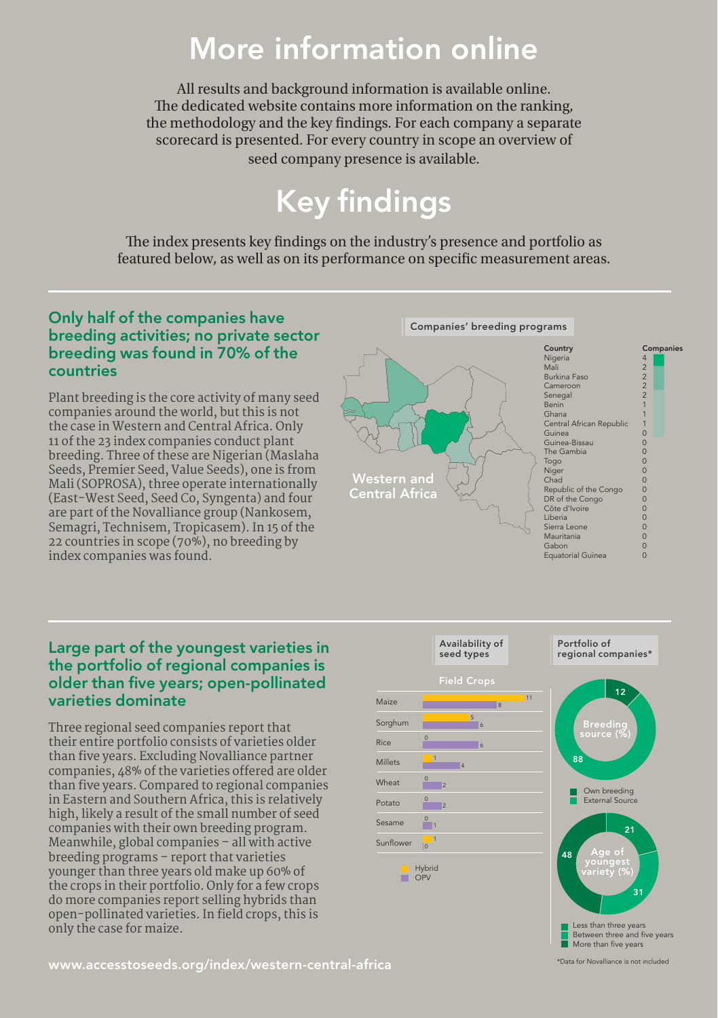## More information online

All results and background information is available online. The dedicated website contains more information on the ranking, the methodology and the key fndings. For each company a separate scorecard is presented. For every country in scope an overview of seed company presence is available.

# Key findings

The index presents key findings on the industry's presence and portfolio as featured below, as well as on its performance on specifc measurement areas.

### Only half of the companies have breeding activities; no private sector breeding was found in 70% of the countries

Plant breeding is the core activity of many seed companies around the world, but this is not the case in Western and Central Africa. Only 11 of the 23 index companies conduct plant breeding. Three of these are Nigerian (Maslaha Seeds, Premier Seed, Value Seeds), one is from Mali (SOPROSA), three operate internationally (East-West Seed, Seed Co, Syngenta) and four are part of the Novalliance group (Nankosem, Semagri, Technisem, Tropicasem). In 15 of the 22 countries in scope (70%), no breeding by index companies was found.

#### 0 0 0 The Gambia Togo Central African Republic 0 Equatorial Guinea Republic of the Congo Country Country Nigeria Nigeria mali<br>Mali Burkina Faso Burkman a Senegal **African Republic** Benin Ghana Guinea Guinea-Bissau The Gambia Togo Niger Chad Companies' breeding programs DR of the Congo Côte d'Ivoire Liberia Sierra Leone Mauritania Gabon Equatorial Guinea Companies 4 2 2 2 2 1 1 1 0 0 0 0 0  $\Omega$  $\Omega$  $\overline{0}$  $\overline{0}$  $\overline{0}$  $\overline{0}$  $\overline{0}$  $\overline{c}$  $\overline{0}$

### Large part of the youngest varieties in the portfolio of regional companies is older than five years; open-pollinated varieties dominate

Three regional seed companies report that their entire portfolio consists of varieties older than five years. Excluding Novalliance partner companies, 48% of the varieties ofered are older than five years. Compared to regional companies in Eastern and Southern Africa, this is relatively high, likely a result of the small number of seed companies with their own breeding program. Meanwhile, global companies – all with active breeding programs – report that varieties younger than three years old make up 60% of the crops in their portfolio. Only for a few crops do more companies report selling hybrids than open-pollinated varieties. In field crops, this is only the case for maize.



More than five years Less than three years Between three and five years

\*Data for Novalliance is not included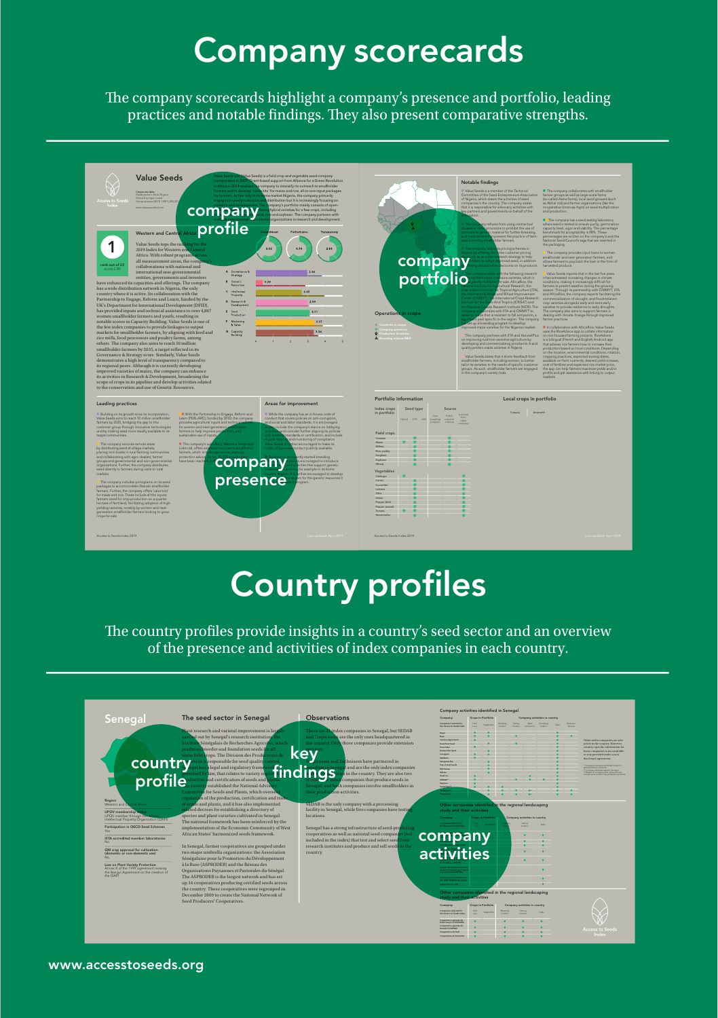# Company scorecards

The company scorecards highlight a company's presence and portfolio, leading practices and notable findings. They also present comparative strengths.



# Country profiles

The country profiles provide insights in a country's seed sector and an overview of the presence and activities of index companies in each country.